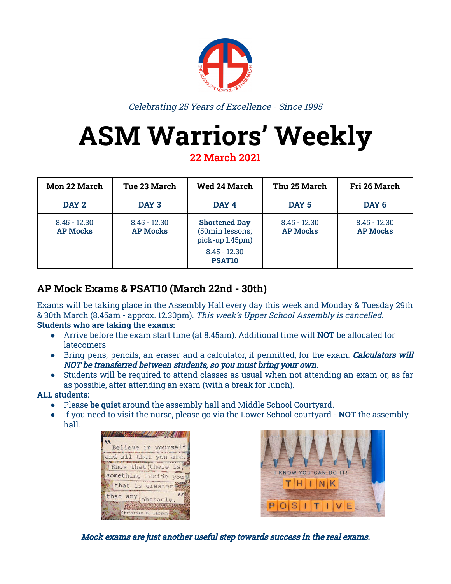

Celebrating 25 Years of Excellence - Since 1995

# **ASM Warriors' Weekly**

**22 March 2021**

| <b>Mon 22 March</b>               | <b>Tue 23 March</b>               | <b>Wed 24 March</b>                                                                                | Thu 25 March                      | Fri 26 March                      |
|-----------------------------------|-----------------------------------|----------------------------------------------------------------------------------------------------|-----------------------------------|-----------------------------------|
| DAY <sub>2</sub>                  | DAY 3                             | DAY 4                                                                                              | DAY <sub>5</sub>                  | DAY <sub>6</sub>                  |
| $8.45 - 12.30$<br><b>AP Mocks</b> | $8.45 - 12.30$<br><b>AP Mocks</b> | <b>Shortened Day</b><br>(50min lessons;<br>pick-up 1.45pm)<br>$8.45 - 12.30$<br>PSAT <sub>10</sub> | $8.45 - 12.30$<br><b>AP Mocks</b> | $8.45 - 12.30$<br><b>AP Mocks</b> |

#### **AP Mock Exams & PSAT10 (March 22nd - 30th)**

Exams will be taking place in the Assembly Hall every day this week and Monday & Tuesday 29th & 30th March (8.45am - approx. 12.30pm). This week's Upper School Assembly is cancelled. **Students who are taking the exams:**

- Arrive before the exam start time (at 8.45am). Additional time will **NOT** be allocated for **latecomers**
- Bring pens, pencils, an eraser and a calculator, if permitted, for the exam. Calculators will NOT be transferred between students, so you must bring your own.
- Students will be required to attend classes as usual when not attending an exam or, as far as possible, after attending an exam (with a break for lunch).

#### **ALL students:**

- Please **be quiet** around the assembly hall and Middle School Courtyard.
- If you need to visit the nurse, please go via the Lower School courtyard **NOT** the assembly hall.





Mock exams are just another useful step towards success in the real exams.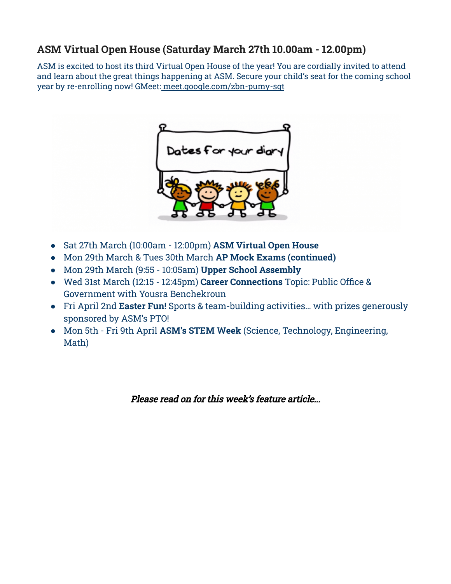#### **ASM Virtual Open House (Saturday March 27th 10.00am - 12.00pm)**

ASM is excited to host its third Virtual Open House of the year! You are cordially invited to attend and learn about the great things happening at ASM. Secure your child's seat for the coming school year by re-enrolling now! GMeet: [meet.google.com/zbn-pumy-sgt](https://asm.us1.list-manage.com/track/click?u=74bb2324d2e0906d1a67beca0&id=5500bdb2da&e=95d744d120)



- Sat 27th March (10:00am 12:00pm) **ASM Virtual Open House**
- Mon 29th March & Tues 30th March **AP Mock Exams (continued)**
- Mon 29th March (9:55 10:05am) **Upper School Assembly**
- **●** Wed 31st March (12:15 12:45pm) **Career Connections** Topic: Public Office & Government with Yousra Benchekroun
- Fri April 2nd **Easter Fun!** Sports & team-building activities… with prizes generously sponsored by ASM's PTO!
- Mon 5th Fri 9th April **ASM's STEM Week** (Science, Technology, Engineering, Math)

Please read on for this week's feature article...